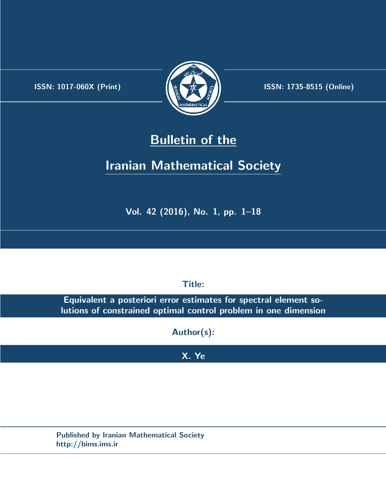.



**ISSN:** 1017-060X (Print)  $\left\{\begin{matrix} \frac{1}{2} & \frac{1}{2} & \frac{1}{2} \\ \frac{1}{2} & \frac{1}{2} & \frac{1}{2} \end{matrix}\right\}$  ISSN: 1735-8515 (Online)

# **Bulletin of the**

# **Iranian Mathematical Society**

**Vol. 42 (2016), No. 1, pp. 1–18**

**Title:**

**Equivalent a posteriori error estimates for spectral element solutions of constrained optimal control problem in one dimension**

**Author(s):**

# **X. Ye**

**Published by Iranian Mathematical Society http://bims.ims.ir**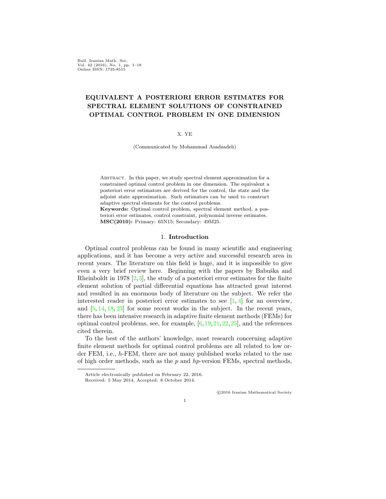Bull. Iranian Math. Soc. Vol. 42 (2016), No. 1, pp. 1–18 Online ISSN: 1735-8515

# **EQUIVALENT A POSTERIORI ERROR ESTIMATES FOR SPECTRAL ELEMENT SOLUTIONS OF CONSTRAINED OPTIMAL CONTROL PROBLEM IN ONE DIMENSION**

#### X. YE

(Communicated by Mohammad Asadzadeh)

Abstract. In this paper, we study spectral element approximation for a constrained optimal control problem in one dimension. The equivalent a posteriori error estimators are derived for the control, the state and the adjoint state approximation. Such estimators can be used to construct adaptive spectral elements for the control problems.

**Keywords:** Optimal control problem, spectral element method, a posteriori error estimates, control constraint, polynomial inverse estimates. **MSC(2010):** Primary: 65N15; Secondary: 49M25.

# 1. **Introduction**

Optimal control problems can be found in many scientific and engineering applications, and it has become a very active and successful research area in recent years. The literature on this field is huge, and it is impossible to give even a very brief review here. Beginning with the papers by Babuška and Rheinboldt in 1978 [\[2](#page-17-0),[3](#page-17-1)], the study of a posteriori error estimates for the finite element solution of partial differential equations has attracted great interest and resulted in an enormous body of literature on the subject. We refer the interested reader in posteriori error estimates to see  $[1, 4]$  $[1, 4]$  $[1, 4]$  $[1, 4]$  for an overview, and [\[5](#page-17-4), [14,](#page-17-5) [18](#page-17-6), [23\]](#page-18-0) for some recent works in the subject. In the recent years, there has been intensive research in adaptive finite element methods (FEMs) for optimal control problems, see, for example, [[6,](#page-17-7)[19,](#page-17-8)[21](#page-17-9),[22](#page-18-1),[25](#page-18-2)], and the references cited therein.

To the best of the authors' knowledge, most research concerning adaptive finite element methods for optimal control problems are all related to low order FEM, i.e., *h*-FEM, there are not many published works related to the use of high order methods, such as the *p* and *hp*-version FEMs, spectral methods,

*⃝*c 2016 Iranian Mathematical Society

Article electronically published on February 22, 2016.

Received: 5 May 2014, Accepted: 8 October 2014.

<sup>1</sup>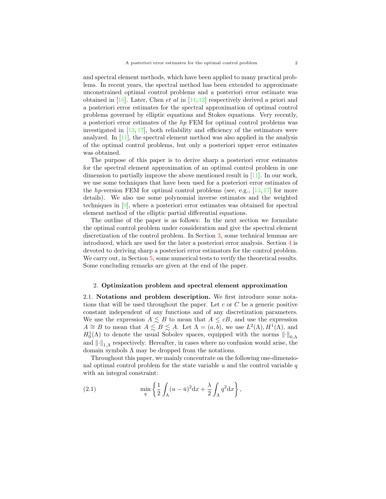and spectral element methods, which have been applied to many practical problems. In recent years, the spectral method has been extended to approximate unconstrained optimal control problems and a posteriori error estimate was obtained in [[16\]](#page-17-10). Later, Chen *et al* in [\[11](#page-17-11), [12](#page-17-12)] respectively derived a priori and a posteriori error estimates for the spectral approximation of optimal control problems governed by elliptic equations and Stokes equations. Very recently, a posteriori error estimates of the *hp* FEM for optimal control problems was investigated in [[13,](#page-17-13) [17](#page-17-14)], both reliability and efficiency of the estimators were analyzed. In [[11\]](#page-17-11), the spectral element method was also applied in the analysis of the optimal control problems, but only a posteriori upper error estimates was obtained.

The purpose of this paper is to derive sharp a posteriori error estimates for the spectral element approximation of an optimal control problem in one dimension to partially improve the above mentioned result in  $[11]$  $[11]$ . In our work, we use some techniques that have been used for a posteriori error estimates of the *hp*-version FEM for optimal control problems (see, e.g., [[13,](#page-17-13) [17\]](#page-17-14) for more details). We also use some polynomial inverse estimates and the weighted techniques in [[9\]](#page-17-15), where a posteriori error estimates was obtained for spectral element method of the elliptic partial differential equations.

The outline of the paper is as follows: In the next section we formulate the optimal control problem under consideration and give the spectral element discretization of the control problem. In Section [3](#page-5-0), some technical lemmas are introduced, which are used for the later a posteriori error analysis. Section [4](#page-6-0) is devoted to deriving sharp a posteriori error estimators for the control problem. We carry out, in Section [5](#page-15-0), some numerical tests to verify the theoretical results. Some concluding remarks are given at the end of the paper.

#### 2. **Optimization problem and spectral element approximation**

2.1. **Notations and problem description.** We first introduce some notations that will be used throughout the paper. Let *c* or *C* be a generic positive constant independent of any functions and of any discretization parameters. We use the expression  $A \leq B$  to mean that  $A \leq cB$ , and use the expression  $A \cong B$  to mean that  $A \leq B \leq A$ . Let  $\Lambda = (a, b)$ , we use  $L^2(\Lambda)$ ,  $H^1(\Lambda)$ , and  $H_0^1(\Lambda)$  to denote the usual Sobolev spaces, equipped with the norms  $\lVert \cdot \rVert_{0,\Lambda}$ and  $\|\cdot\|_{1,\Lambda}$  respectively. Hereafter, in cases where no confusion would arise, the domain symbols Λ may be dropped from the notations.

Throughout this paper, we mainly concentrate on the following one-dimensional optimal control problem for the state variable *u* and the control variable *q* with an integral constraint:

(2.1) 
$$
\min_{q} \left\{ \frac{1}{2} \int_{\Lambda} (u - \bar{u})^2 dx + \frac{\lambda}{2} \int_{\Lambda} q^2 dx \right\},
$$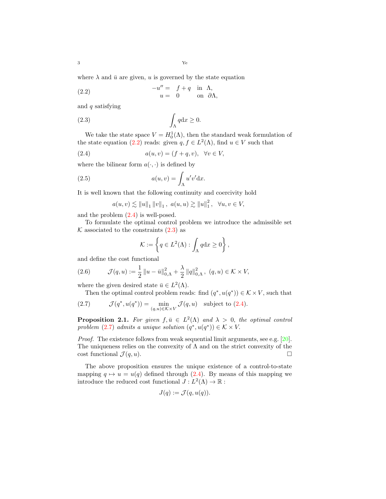where  $\lambda$  and  $\bar{u}$  are given, *u* is governed by the state equation

<span id="page-3-0"></span>(2.2) 
$$
-u'' = f + q \text{ in } \Lambda,
$$

$$
u = 0 \text{ on } \partial \Lambda,
$$

and *q* satisfying

<span id="page-3-2"></span>
$$
\int_{\Lambda} q \mathrm{d}x \ge 0.
$$

We take the state space  $V = H_0^1(\Lambda)$ , then the standard weak formulation of the state equation [\(2.2\)](#page-3-0) reads: given  $q, f \in L^2(\Lambda)$ , find  $u \in V$  such that

(2.4) 
$$
a(u,v) = (f+q, v), \quad \forall v \in V,
$$

where the bilinear form  $a(\cdot, \cdot)$  is defined by

(2.5) 
$$
a(u,v) = \int_{\Lambda} u'v' \, \mathrm{d}x.
$$

It is well known that the following continuity and coercivity hold

<span id="page-3-4"></span><span id="page-3-1"></span>
$$
a(u, v) \lesssim ||u||_1 ||v||_1
$$
,  $a(u, u) \gtrsim ||u||_1^2$ ,  $\forall u, v \in V$ ,

and the problem [\(2.4\)](#page-3-1) is well-posed.

To formulate the optimal control problem we introduce the admissible set  $K$  associated to the constraints  $(2.3)$  $(2.3)$  $(2.3)$  as

$$
\mathcal{K} := \left\{ q \in L^2(\Lambda) : \int_{\Lambda} q \mathrm{d}x \ge 0 \right\},\,
$$

and define the cost functional

(2.6) 
$$
\mathcal{J}(q, u) := \frac{1}{2} ||u - \bar{u}||_{0, \Lambda}^2 + \frac{\lambda}{2} ||q||_{0, \Lambda}^2, (q, u) \in \mathcal{K} \times V,
$$

where the given desired state  $\bar{u} \in L^2(\Lambda)$ .

<span id="page-3-3"></span>Then the optimal control problem reads: find  $(q^*, u(q^*)) \in K \times V$ , such that

(2.7) 
$$
\mathcal{J}(q^*, u(q^*)) = \min_{(q,u)\in\mathcal{K}\times V} \mathcal{J}(q,u) \text{ subject to (2.4).}
$$

**Proposition 2.1.** For given  $f, \bar{u} \in L^2(\Lambda)$  and  $\lambda > 0$ , the optimal control *problem*  $(2.7)$  $(2.7)$  *admits a unique solution*  $(q^*, u(q^*)) \in K \times V$ .

*Proof.* The existence follows from weak sequential limit arguments, see e.g. [[20\]](#page-17-16). The uniqueness relies on the convexity of  $\Lambda$  and on the strict convexity of the cost functional  $\mathcal{J}(q, u)$ .

The above proposition ensures the unique existence of a control-to-state mapping  $q \mapsto u = u(q)$  defined through [\(2.4\)](#page-3-1). By means of this mapping we introduce the reduced cost functional  $J: L^2(\Lambda) \to \mathbb{R}$ :

$$
J(q) := \mathcal{J}(q, u(q)).
$$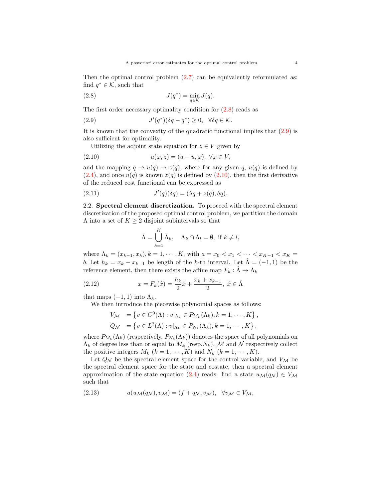Then the optimal control problem  $(2.7)$  $(2.7)$  can be equivalently reformulated as: find  $q^* \in \mathcal{K}$ , such that

<span id="page-4-0"></span>(2.8) 
$$
J(q^*) = \min_{q \in \mathcal{K}} J(q).
$$

The first order necessary optimality condition for [\(2.8](#page-4-0)) reads as

<span id="page-4-1"></span>(2.9) 
$$
J'(q^*)(\delta q - q^*) \geq 0, \quad \forall \delta q \in \mathcal{K}.
$$

It is known that the convexity of the quadratic functional implies that ([2.9](#page-4-1)) is also sufficient for optimality.

<span id="page-4-2"></span>Utilizing the adjoint state equation for  $z \in V$  given by

(2.10) 
$$
a(\varphi, z) = (u - \bar{u}, \varphi), \ \forall \varphi \in V,
$$

and the mapping  $q \to u(q) \to z(q)$ , where for any given q,  $u(q)$  is defined by  $(2.4)$  $(2.4)$ , and once  $u(q)$  is known  $z(q)$  is defined by  $(2.10)$ , then the first derivative of the reduced cost functional can be expressed as

(2.11) 
$$
J'(q)(\delta q) = (\lambda q + z(q), \delta q).
$$

2.2. **Spectral element discretization.** To proceed with the spectral element discretization of the proposed optimal control problem, we partition the domain Λ into a set of *K ≥* 2 disjoint subintervals so that

<span id="page-4-4"></span>
$$
\bar{\Lambda} = \bigcup_{k=1}^{K} \bar{\Lambda}_k, \quad \Lambda_k \cap \Lambda_l = \emptyset, \text{ if } k \neq l,
$$

where  $\Lambda_k = (x_{k-1}, x_k)$ ,  $k = 1, \dots, K$ , with  $a = x_0 < x_1 < \dots < x_{K-1} < x_K$ *b.* Let  $h_k = x_k - x_{k-1}$  be length of the *k*-th interval. Let  $\hat{\Lambda} = (-1, 1)$  be the reference element, then there exists the affine map  $F_k : \hat{\Lambda} \to \Lambda_k$ 

(2.12) 
$$
x = F_k(\hat{x}) = \frac{h_k}{2}\hat{x} + \frac{x_k + x_{k-1}}{2}, \ \hat{x} \in \hat{\Lambda}
$$

that maps  $(-1, 1)$  into  $\Lambda_k$ .

We then introduce the piecewise polynomial spaces as follows:

<span id="page-4-5"></span>
$$
V_{\mathcal{M}} = \left\{ v \in C^{0}(\Lambda) : v|_{\Lambda_{k}} \in P_{M_{k}}(\Lambda_{k}), k = 1, \cdots, K \right\},
$$
  

$$
Q_{\mathcal{N}} = \left\{ v \in L^{2}(\Lambda) : v|_{\Lambda_{k}} \in P_{N_{k}}(\Lambda_{k}), k = 1, \cdots, K \right\},
$$

where  $P_{M_k}(\Lambda_k)$  (respectively,  $P_{N_k}(\Lambda_k)$ ) denotes the space of all polynomials on  $\Lambda_k$  of degree less than or equal to  $M_k$  (resp. $N_k$ ),  $\mathcal M$  and  $\mathcal N$  respectively collect the positive integers  $M_k$   $(k = 1, \dots, K)$  and  $N_k$   $(k = 1, \dots, K)$ .

Let  $Q_N$  be the spectral element space for the control variable, and  $V_M$  be the spectral element space for the state and costate, then a spectral element approximation of the state equation ([2.4](#page-3-1)) reads: find a state  $u_{\mathcal{M}}(q_{\mathcal{N}}) \in V_{\mathcal{M}}$ such that

<span id="page-4-3"></span>(2.13) 
$$
a(u_{\mathcal{M}}(q_{\mathcal{N}}), v_{\mathcal{M}}) = (f + q_{\mathcal{N}}, v_{\mathcal{M}}), \quad \forall v_{\mathcal{M}} \in V_{\mathcal{M}},
$$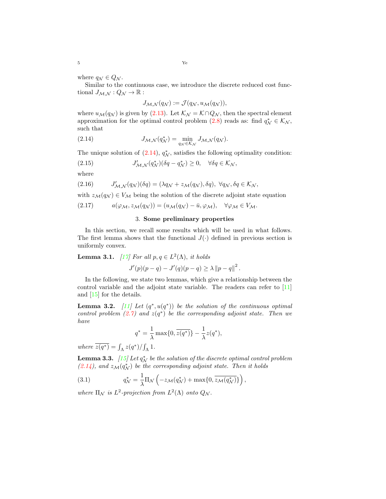where  $q_N \in Q_N$ .

Similar to the continuous case, we introduce the discrete reduced cost functional  $J_{\mathcal{M},\mathcal{N}}: Q_{\mathcal{N}} \to \mathbb{R}$ :

<span id="page-5-1"></span>
$$
J_{\mathcal{M},\mathcal{N}}(q_{\mathcal{N}}) := \mathcal{J}(q_{\mathcal{N}},u_{\mathcal{M}}(q_{\mathcal{N}})),
$$

where  $u_{\mathcal{M}}(q_{\mathcal{N}})$  is given by ([2.13](#page-4-3)). Let  $\mathcal{K}_{\mathcal{N}} = \mathcal{K} \cap Q_{\mathcal{N}}$ , then the spectral element approximation for the optimal control problem ([2.8\)](#page-4-0) reads as: find  $q^*_{\mathcal{N}} \in \mathcal{K}_{\mathcal{N}}$ , such that

(2.14) 
$$
J_{\mathcal{M},\mathcal{N}}(q^*_{\mathcal{N}}) = \min_{q_{\mathcal{N}} \in \mathcal{K}_{\mathcal{N}}} J_{\mathcal{M},\mathcal{N}}(q_{\mathcal{N}}).
$$

The unique solution of  $(2.14)$  $(2.14)$  $(2.14)$ ,  $q_N^*$ , satisfies the following optimality condition:

<span id="page-5-4"></span>(2.15) 
$$
J'_{\mathcal{M},\mathcal{N}}(q^*_{\mathcal{N}})(\delta q - q^*_{\mathcal{N}}) \geq 0, \quad \forall \delta q \in \mathcal{K}_{\mathcal{N}},
$$

where

<span id="page-5-5"></span>(2.16) 
$$
J'_{\mathcal{M},\mathcal{N}}(q_{\mathcal{N}})(\delta q) = (\lambda q_{\mathcal{N}} + z_{\mathcal{M}}(q_{\mathcal{N}}), \delta q), \ \forall q_{\mathcal{N}}, \delta q \in \mathcal{K}_{\mathcal{N}},
$$

with  $z_M(q_N) \in V_M$  being the solution of the discrete adjoint state equation

<span id="page-5-0"></span>
$$
(2.17) \t a(\varphi_M, z_M(q_N)) = (u_M(q_N) - \bar{u}, \varphi_M), \quad \forall \varphi_M \in V_M.
$$

# <span id="page-5-2"></span>3. **Some preliminary properties**

In this section, we recall some results which will be used in what follows. The first lemma shows that the functional  $J(\cdot)$  defined in previous section is uniformly convex.

<span id="page-5-3"></span>**Lemma 3.1.**  $[17]$  $[17]$  For all  $p, q \in L^2(\Lambda)$ , *it holds* 

$$
J'(p)(p - q) - J'(q)(p - q) \ge \lambda ||p - q||^{2}.
$$

In the following, we state two lemmas, which give a relationship between the control variable and the adjoint state variable. The readers can refer to [\[11](#page-17-11)] and [\[15](#page-17-17)] for the details.

<span id="page-5-7"></span>**Lemma 3.2.**  $[11]$  $[11]$  Let  $(q^*, u(q^*))$  be the solution of the continuous optimal *control problem*  $(2.7)$  $(2.7)$  $(2.7)$  *and*  $z(q^*)$  *be the corresponding adjoint state. Then we have*

$$
q^* = \frac{1}{\lambda} \max\{0, \overline{z(q^*)}\} - \frac{1}{\lambda} z(q^*),
$$

*where*  $\overline{z(q^*)} = \int_{\Lambda} z(q^*) / \int_{\Lambda} 1$ .

<span id="page-5-6"></span>**Lemma 3.3.**  $[15]$  $[15]$  $[15]$  Let  $q_N^*$  be the solution of the discrete optimal control problem  $(2.14)$  $(2.14)$ , and  $z_{\mathcal{M}}(q^*_{\mathcal{N}})$  be the corresponding adjoint state. Then it holds

(3.1) 
$$
q^*_{\mathcal{N}} = \frac{1}{\lambda} \Pi_{\mathcal{N}} \left( -z_{\mathcal{M}}(q^*_{\mathcal{N}}) + \max\{0, \overline{z_{\mathcal{M}}(q^*_{\mathcal{N}})}\} \right),
$$

where  $\Pi_N$  *is*  $L^2$ -projection from  $L^2(\Lambda)$  onto  $Q_N$ .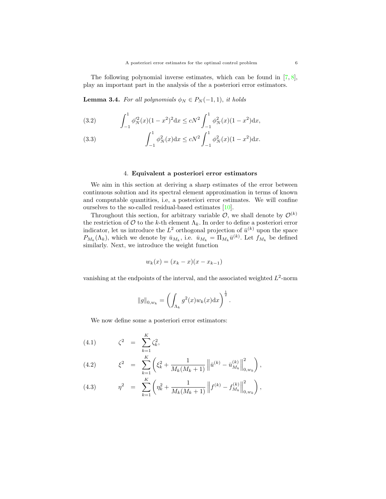The following polynomial inverse estimates, which can be found in  $[7, 8]$  $[7, 8]$  $[7, 8]$  $[7, 8]$ , play an important part in the analysis of the a posteriori error estimators.

**Lemma 3.4.** *For all polynomials*  $\phi_N \in P_N(-1,1)$ *, it holds* 

<span id="page-6-2"></span>(3.2) 
$$
\int_{-1}^{1} \phi_N'^2(x) (1-x^2)^2 dx \le cN^2 \int_{-1}^{1} \phi_N^2(x) (1-x^2) dx,
$$

<span id="page-6-3"></span>(3.3) 
$$
\int_{-1}^{1} \phi_N^2(x) dx \le cN^2 \int_{-1}^{1} \phi_N^2(x) (1 - x^2) dx.
$$

# 4. **Equivalent a posteriori error estimators**

<span id="page-6-0"></span>We aim in this section at deriving a sharp estimates of the error between continuous solution and its spectral element approximation in terms of known and computable quantities, i.e, a posteriori error estimates. We will confine ourselves to the so-called residual-based estimates [[10\]](#page-17-20).

Throughout this section, for arbitrary variable  $\mathcal{O}$ , we shall denote by  $\mathcal{O}^{(k)}$ the restriction of  $\mathcal O$  to the *k*-th element  $\Lambda_k$ . In order to define a posteriori error indicator, let us introduce the  $L^2$  orthogonal projection of  $\bar{u}^{(k)}$  upon the space  $P_{M_k}(\Lambda_k)$ , which we denote by  $\bar{u}_{M_k}$ , i.e.  $\bar{u}_{M_k} = \Pi_{M_k} \bar{u}^{(k)}$ . Let  $f_{M_k}$  be defined similarly. Next, we introduce the weight function

$$
w_k(x) = (x_k - x)(x - x_{k-1})
$$

vanishing at the endpoints of the interval, and the associated weighted  $L^2$ -norm

$$
||g||_{0,w_k} = \left(\int_{\Lambda_k} g^2(x) w_k(x) dx\right)^{\frac{1}{2}}.
$$

<span id="page-6-1"></span>We now define some a posteriori error estimators:

$$
(4.1) \qquad \zeta^2 = \sum_{k=1}^K \zeta_k^2,
$$

(4.2) 
$$
\xi^2 = \sum_{k=1}^K \left( \xi_k^2 + \frac{1}{M_k(M_k+1)} \left\| \bar{u}^{(k)} - \bar{u}_{M_k}^{(k)} \right\|_{0,w_k}^2 \right),
$$

(4.3) 
$$
\eta^2 = \sum_{k=1}^K \left( \eta_k^2 + \frac{1}{M_k(M_k+1)} \left\| f^{(k)} - f^{(k)}_{M_k} \right\|_{0,w_k}^2 \right),
$$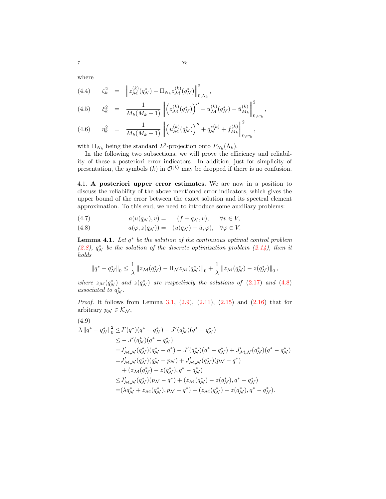where

<span id="page-7-2"></span>(4.4) 
$$
\zeta_k^2 = \|z_{\mathcal{M}}^{(k)}(q_{\mathcal{N}}^*) - \Pi_{N_k} z_{\mathcal{M}}^{(k)}(q_{\mathcal{N}}^*)\|_{0,\Lambda_k}^2,
$$
  
\n(4.5) 
$$
\xi_k^2 = \frac{1}{M_k(M_k+1)} \left\| \left( z_{\mathcal{M}}^{(k)}(q_{\mathcal{N}}^*) \right)'' + u_{\mathcal{M}}^{(k)}(q_{\mathcal{N}}^*) - \bar{u}_{M_k}^{(k)} \right\|_{0,w_k}^2,
$$
  
\n(4.6) 
$$
\eta_k^2 = \frac{1}{M_k(M_{k+1})} \left\| \left( u_{\mathcal{M}}^{(k)}(q_{\mathcal{N}}^*) \right)'' + q_{\mathcal{N}}^{*(k)} + f_{M_k}^{(k)} \right\|^2,
$$

(4.6) 
$$
\eta_k^2 = \frac{1}{M_k(M_k+1)} \left\| \left( u_{\mathcal{M}}^{(k)}(q_{\mathcal{N}}^*) \right) + q_{\mathcal{N}}^{*(k)} + f_{M_k}^{(k)} \right\|_{0,w_k},
$$

with  $\Pi_{N_k}$  being the standard  $L^2$ -projection onto  $P_{N_k}(\Lambda_k)$ .

In the following two subsections, we will prove the efficiency and reliability of these a posteriori error indicators. In addition, just for simplicity of presentation, the symbols  $(k)$  in  $\mathcal{O}^{(k)}$  may be dropped if there is no confusion.

4.1. **A posteriori upper error estimates.** We are now in a position to discuss the reliability of the above mentioned error indicators, which gives the upper bound of the error between the exact solution and its spectral element approximation. To this end, we need to introduce some auxiliary problems:

<span id="page-7-0"></span>(4.7) 
$$
a(u(q_N), v) = (f + q_N, v), \quad \forall v \in V,
$$

(4.8) 
$$
a(\varphi, z(q_N)) = (u(q_N) - \bar{u}, \varphi), \quad \forall \varphi \in V.
$$

<span id="page-7-3"></span>**Lemma 4.1.** *Let q ∗ be the solution of the continuous optimal control problem*  $(2.8)$  $(2.8)$ ,  $q^*$  *be the solution of the discrete optimization problem*  $(2.14)$  $(2.14)$  $(2.14)$ *, then it holds*

$$
||q^* - q^*_{\mathcal{N}}||_0 \leq \frac{1}{\lambda} ||z_{\mathcal{M}}(q^*_{\mathcal{N}}) - \Pi_{\mathcal{N}} z_{\mathcal{M}}(q^*_{\mathcal{N}})||_0 + \frac{1}{\lambda} ||z_{\mathcal{M}}(q^*_{\mathcal{N}}) - z(q^*_{\mathcal{N}})||_0,
$$

*where*  $z_M(q_N^*)$  and  $z(q_N^*)$  are respectively the solutions of ([2.17](#page-5-2)) and ([4.8](#page-7-0)) *associated to*  $q_N^*$ .

*Proof.* It follows from Lemma [3.1](#page-5-3), ([2.9\)](#page-4-1), ([2.11](#page-4-4)), [\(2.15\)](#page-5-4) and ([2.16](#page-5-5)) that for arbitrary  $p_{\mathcal{N}} \in \mathcal{K}_{\mathcal{N}}$ ,

<span id="page-7-1"></span>
$$
(4.9)
$$

$$
\lambda ||q^* - q^*_{\mathcal{N}}||_0^2 \leq J'(q^*)(q^* - q^*_{\mathcal{N}}) - J'(q^*_{\mathcal{N}})(q^* - q^*_{\mathcal{N}})
$$
  
\n
$$
\leq -J'(q^*_{\mathcal{N}})(q^* - q^*_{\mathcal{N}})
$$
  
\n
$$
= J'_{\mathcal{M},\mathcal{N}}(q^*_{\mathcal{N}})(q^*_{\mathcal{N}} - q^*) - J'(q^*_{\mathcal{N}})(q^* - q^*_{\mathcal{N}}) + J'_{\mathcal{M},\mathcal{N}}(q^*_{\mathcal{N}})(q^* - q^*_{\mathcal{N}})
$$
  
\n
$$
= J'_{\mathcal{M},\mathcal{N}}(q^*_{\mathcal{N}})(q^*_{\mathcal{N}} - p_{\mathcal{N}}) + J'_{\mathcal{M},\mathcal{N}}(q^*_{\mathcal{N}})(p_{\mathcal{N}} - q^*)
$$
  
\n
$$
+ (z_{\mathcal{M}}(q^*_{\mathcal{N}}) - z(q^*_{\mathcal{N}}), q^* - q^*_{\mathcal{N}})
$$
  
\n
$$
\leq J'_{\mathcal{M},\mathcal{N}}(q^*_{\mathcal{N}})(p_{\mathcal{N}} - q^*) + (z_{\mathcal{M}}(q^*_{\mathcal{N}}) - z(q^*_{\mathcal{N}}), q^* - q^*_{\mathcal{N}})
$$
  
\n
$$
= (\lambda q^*_{\mathcal{N}} + z_{\mathcal{M}}(q^*_{\mathcal{N}}), p_{\mathcal{N}} - q^*) + (z_{\mathcal{M}}(q^*_{\mathcal{N}}) - z(q^*_{\mathcal{N}}), q^* - q^*_{\mathcal{N}}).
$$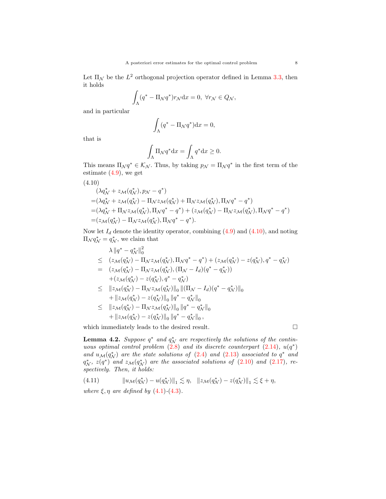Let  $\Pi_{\mathcal{N}}$  be the  $L^2$  orthogonal projection operator defined in Lemma [3.3,](#page-5-6) then it holds

$$
\int_{\Lambda} (q^* - \Pi_{\mathcal{N}} q^*) r_{\mathcal{N}} \mathrm{d}x = 0, \ \forall r_{\mathcal{N}} \in Q_{\mathcal{N}},
$$

and in particular

$$
\int_{\Lambda} (q^* - \Pi_{\mathcal{N}} q^*) \mathrm{d} x = 0,
$$

that is

$$
\int_{\Lambda} \Pi_{\mathcal{N}} q^* dx = \int_{\Lambda} q^* dx \ge 0.
$$

This means  $\Pi_{\mathcal{N}} q^* \in \mathcal{K}_{\mathcal{N}}$ . Thus, by taking  $p_{\mathcal{N}} = \Pi_{\mathcal{N}} q^*$  in the first term of the estimate ([4.9\)](#page-7-1), we get

<span id="page-8-0"></span>(4.10)  
\n
$$
(\lambda q_N^* + z_{\mathcal{M}}(q_N^*), p_{\mathcal{N}} - q^*)
$$
\n
$$
= (\lambda q_N^* + z_{\mathcal{M}}(q_N^*) - \Pi_{\mathcal{N}} z_{\mathcal{M}}(q_N^*) + \Pi_{\mathcal{N}} z_{\mathcal{M}}(q_N^*), \Pi_{\mathcal{N}} q^* - q^*)
$$
\n
$$
= (\lambda q_N^* + \Pi_{\mathcal{N}} z_{\mathcal{M}}(q_N^*), \Pi_{\mathcal{N}} q^* - q^*) + (z_{\mathcal{M}}(q_N^*) - \Pi_{\mathcal{N}} z_{\mathcal{M}}(q_N^*), \Pi_{\mathcal{N}} q^* - q^*)
$$
\n
$$
= (z_{\mathcal{M}}(q_N^*) - \Pi_{\mathcal{N}} z_{\mathcal{M}}(q_N^*), \Pi_{\mathcal{N}} q^* - q^*).
$$

Now let  $I_d$  denote the identity operator, combining  $(4.9)$  $(4.9)$  and  $(4.10)$  $(4.10)$  $(4.10)$ , and noting  $\Pi_{\mathcal{N}} q_{\mathcal{N}}^* = q_{\mathcal{N}}^*$ , we claim that

$$
\lambda \|q^* - q_N^*\|_0^2
$$
\n
$$
\leq (z_{\mathcal{M}}(q_N^*) - \Pi_{\mathcal{N}} z_{\mathcal{M}}(q_N^*), \Pi_{\mathcal{N}} q^* - q^*) + (z_{\mathcal{M}}(q_N^*) - z(q_N^*), q^* - q_N^*)
$$
\n
$$
= (z_{\mathcal{M}}(q_N^*) - \Pi_{\mathcal{N}} z_{\mathcal{M}}(q_N^*), (\Pi_{\mathcal{N}} - I_d)(q^* - q_N^*))
$$
\n
$$
+ (z_{\mathcal{M}}(q_N^*) - z(q_N^*), q^* - q_N^*)
$$
\n
$$
\leq ||z_{\mathcal{M}}(q_N^*) - \Pi_{\mathcal{N}} z_{\mathcal{M}}(q_N^*)||_0 ||(\Pi_{\mathcal{N}} - I_d)(q^* - q_N^*)||_0
$$
\n
$$
+ ||z_{\mathcal{M}}(q_N^*) - z(q_N^*)||_0 ||q^* - q_N^*||_0
$$

$$
\leq \quad ||z_{\mathcal{M}}(q_{\mathcal{N}}^{*}) - \Pi_{\mathcal{N}} z_{\mathcal{M}}(q_{\mathcal{N}}^{*})||_{0} ||q^{*} - q_{\mathcal{N}}^{*}||_{0} + ||z_{\mathcal{M}}(q_{\mathcal{N}}^{*}) - z(q_{\mathcal{N}}^{*})||_{0} ||q^{*} - q_{\mathcal{N}}^{*}||_{0},
$$

which immediately leads to the desired result.  $\Box$ 

<span id="page-8-1"></span>**Lemma 4.2.** *Suppose*  $q^*$  *and*  $q^*_{\mathcal{N}}$  *are respectively the solutions of the continuous optimal control problem*  $(2.8)$  *and its discrete counterpart*  $(2.14)$  $(2.14)$ *,*  $u(q^*)$ *and*  $u_M(q_N^*)$  are the state solutions of ([2.4\)](#page-3-1) and [\(2.13](#page-4-3)) associated to  $q^*$  and  $q^*_{\mathcal{N}}, z(q^*)$  and  $z_{\mathcal{M}}(q^*_{\mathcal{N}})$  are the associated solutions of ([2.10](#page-4-2)) and [\(2.17](#page-5-2))*,* re*spectively. Then, it holds:*

(4.11) 
$$
\|u_{\mathcal{M}}(q^*_{\mathcal{N}})-u(q^*_{\mathcal{N}})\|_1 \lesssim \eta, \quad \|z_{\mathcal{M}}(q^*_{\mathcal{N}})-z(q^*_{\mathcal{N}})\|_1 \lesssim \xi + \eta,
$$

*where*  $\xi, \eta$  *are defined by*  $(4.1)$  $(4.1)$  $(4.1)$ - $(4.3)$  $(4.3)$  $(4.3)$ *.*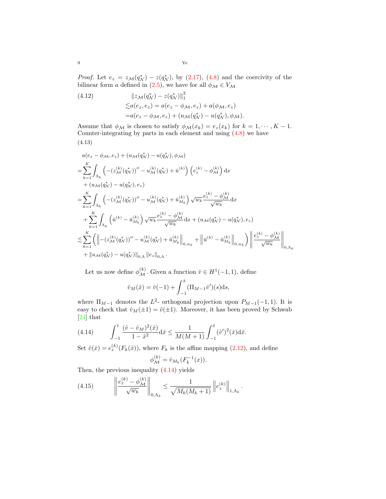*Proof.* Let  $e_z = z_{\mathcal{M}}(q^*_{\mathcal{N}}) - z(q^*_{\mathcal{N}})$ , by [\(2.17](#page-5-2)), [\(4.8\)](#page-7-0) and the coercivity of the bilinear form *a* defined in ([2.5\)](#page-3-4), we have for all  $\phi_{\mathcal{M}} \in V_{\mathcal{M}}$ 

<span id="page-9-3"></span>(4.12) 
$$
\|z_{\mathcal{M}}(q_{\mathcal{N}}^{*}) - z(q_{\mathcal{N}}^{*})\|_{1}^{2} \n\leq a(e_{z}, e_{z}) = a(e_{z} - \phi_{\mathcal{M}}, e_{z}) + a(\phi_{\mathcal{M}}, e_{z}) \n= a(e_{z} - \phi_{\mathcal{M}}, e_{z}) + (u_{\mathcal{M}}(q_{\mathcal{N}}^{*}) - u(q_{\mathcal{N}}^{*}), \phi_{\mathcal{M}}).
$$

<span id="page-9-2"></span>Assume that  $\phi_{\mathcal{M}}$  is chosen to satisfy  $\phi_{\mathcal{M}}(x_k) = e_z(x_k)$  for  $k = 1, \dots, K - 1$ . Counter-integrating by parts in each element and using  $(4.8)$  $(4.8)$  we have (4.13)

$$
a(e_{z} - \phi_{\mathcal{M}}, e_{z}) + (u_{\mathcal{M}}(q_{\mathcal{N}}^{*}) - u(q_{\mathcal{N}}^{*}), \phi_{\mathcal{M}})
$$
\n
$$
= \sum_{k=1}^{K} \int_{\Lambda_{k}} \left( -(z_{\mathcal{M}}^{(k)}(q_{\mathcal{N}}^{*}))'' - u_{\mathcal{M}}^{(k)}(q_{\mathcal{N}}^{*}) + \bar{u}^{(k)} \right) \left( e_{z}^{(k)} - \phi_{\mathcal{M}}^{(k)} \right) dx
$$
\n
$$
+ (u_{\mathcal{M}}(q_{\mathcal{N}}^{*}) - u(q_{\mathcal{N}}^{*}), e_{z})
$$
\n
$$
= \sum_{k=1}^{K} \int_{\Lambda_{k}} \left( -(z_{\mathcal{M}}^{(k)}(q_{\mathcal{N}}^{*}))'' - u_{\mathcal{M}}^{(k)}(q_{\mathcal{N}}^{*}) + \bar{u}_{M_{k}}^{(k)} \right) \sqrt{w_{k}} \frac{e_{z}^{(k)} - \phi_{\mathcal{M}}^{(k)}}{\sqrt{w_{k}}} dx
$$
\n
$$
+ \sum_{k=1}^{K} \int_{\Lambda_{k}} \left( \bar{u}^{(k)} - \bar{u}_{M_{k}}^{(k)} \right) \sqrt{w_{k}} \frac{e_{z}^{(k)} - \phi_{\mathcal{M}}^{(k)}}{\sqrt{w_{k}}} dx + (u_{\mathcal{M}}(q_{\mathcal{N}}^{*}) - u(q_{\mathcal{N}}^{*}), e_{z})
$$
\n
$$
\lesssim \sum_{k=1}^{K} \left( \left\| -(z_{\mathcal{M}}^{(k)}(q_{\mathcal{N}}^{*}))'' - u_{\mathcal{M}}^{(k)}(q_{\mathcal{N}}^{*}) + \bar{u}_{M_{k}}^{(k)} \right\|_{0,w_{k}} + \left\| \bar{u}^{(k)} - \bar{u}_{M_{k}}^{(k)} \right\|_{0,w_{k}} \right) \left\| \frac{e_{z}^{(k)} - \phi_{\mathcal{M}}^{(k)}}{\sqrt{w_{k}}} \right\|_{0,\Lambda_{k}}
$$
\n
$$
+ \left\| u_{\mathcal{M}}(q_{\mathcal{N}}^{*}) - u(q_{\mathcal{N}}^{*}) \right\|_{
$$

Let us now define  $\phi_{\mathcal{M}}^{(k)}$ . Given a function  $\hat{v} \in H^1(-1, 1)$ , define

$$
\hat{v}_M(\hat{x}) = \hat{v}(-1) + \int_{-1}^{\hat{x}} (\Pi_{M-1}\hat{v}')(s) \mathrm{d} s,
$$

where  $\Pi_{M-1}$  denotes the  $L^2$ - orthogonal projection upon  $P_{M-1}(-1,1)$ . It is easy to check that  $\hat{v}_M(\pm 1) = \hat{v}(\pm 1)$ . Moreover, it has been proved by Schwab [[24\]](#page-18-3) that

<span id="page-9-0"></span>(4.14) 
$$
\int_{-1}^{1} \frac{(\hat{v} - \hat{v}_M)^2(\hat{x})}{1 - \hat{x}^2} d\hat{x} \le \frac{1}{M(M+1)} \int_{-1}^{\hat{x}} (\hat{v}')^2(\hat{x}) d\hat{x}.
$$

Set  $\hat{v}(\hat{x}) = e^{(k)}(F_k(\hat{x}))$ , where  $F_k$  is the affine mapping ([2.12](#page-4-5)), and define  $\langle i \rangle$ 

$$
\phi_{\mathcal{M}}^{(k)} = \hat{v}_{M_k}(F_k^{-1}(x)).
$$

Then, the previous inequality ([4.14\)](#page-9-0) yields

<span id="page-9-1"></span>
$$
(4.15) \qquad \left\| \frac{e_z^{(k)} - \phi_{\mathcal{M}}^{(k)}}{\sqrt{w_k}} \right\|_{0,\Lambda_k} \leq \frac{1}{\sqrt{M_k(M_k+1)}} \left\| e_z^{(k)} \right\|_{1,\Lambda_k}.
$$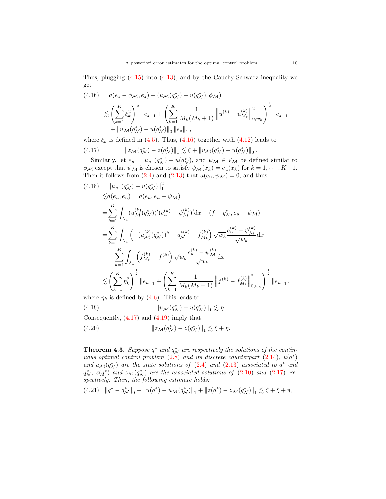Thus, plugging [\(4.15](#page-9-1)) into [\(4.13\)](#page-9-2), and by the Cauchy-Schwarz inequality we get

<span id="page-10-0"></span>
$$
(4.16) \quad a(e_z - \phi_{\mathcal{M}}, e_z) + (u_{\mathcal{M}}(q_{\mathcal{N}}^*) - u(q_{\mathcal{N}}^*), \phi_{\mathcal{M}})
$$
  
\$\leqslant \left(\sum\_{k=1}^K \xi\_k^2\right)^{\frac{1}{2}} \|e\_z\|\_1 + \left(\sum\_{k=1}^K \frac{1}{M\_k(M\_k+1)} \left\|\bar{u}^{(k)} - \bar{u}\_{M\_k}^{(k)}\right\|\_{0, w\_k}^2\right)^{\frac{1}{2}} \|e\_z\|\_1\$  
 
$$
+ \|u_{\mathcal{M}}(q_{\mathcal{N}}^*) - u(q_{\mathcal{N}}^*)\|_0 \|e_z\|_1,
$$

<span id="page-10-1"></span>where  $\xi_k$  is defined in [\(4.5](#page-7-2)). Thus, ([4.16\)](#page-10-0) together with ([4.12\)](#page-9-3) leads to

(4.17) 
$$
\|z_{\mathcal{M}}(q^*_{\mathcal{N}})-z(q^*_{\mathcal{N}})\|_1 \lesssim \xi + \|u_{\mathcal{M}}(q^*_{\mathcal{N}})-u(q^*_{\mathcal{N}})\|_0
$$

Similarly, let  $e_u = u_{\mathcal{M}}(q^*_{\mathcal{N}}) - u(q^*_{\mathcal{N}})$ , and  $\psi_{\mathcal{M}} \in V_{\mathcal{M}}$  be defined similar to  $\phi_{\mathcal{M}}$  except that  $\psi_{\mathcal{M}}$  is chosen to satisfy  $\psi_{\mathcal{M}}(x_k) = e_u(x_k)$  for  $k = 1, \dots, K-1$ . Then it follows from [\(2.4\)](#page-3-1) and [\(2.13](#page-4-3)) that  $a(e_u, \psi_{\mathcal{M}}) = 0$ , and thus

$$
(4.18) \quad ||u_{\mathcal{M}}(q_{\mathcal{N}}^{*}) - u(q_{\mathcal{N}}^{*})||_{1}^{2}
$$
\n
$$
\leq a(e_{u}, e_{u}) = a(e_{u}, e_{u} - \psi_{\mathcal{M}})
$$
\n
$$
= \sum_{k=1}^{K} \int_{\Lambda_{k}} (u_{\mathcal{M}}^{(k)}(q_{\mathcal{N}}^{*}))'(e_{u}^{(k)} - \psi_{\mathcal{M}}^{(k)})' dx - (f + q_{\mathcal{N}}^{*}, e_{u} - \psi_{\mathcal{M}})
$$
\n
$$
= \sum_{k=1}^{K} \int_{\Lambda_{k}} \left( -(u_{\mathcal{M}}^{(k)}(q_{\mathcal{N}}^{*}))'' - q_{\mathcal{N}}^{*(k)} - f_{M_{k}}^{(k)} \right) \sqrt{w_{k}} \frac{e_{u}^{(k)} - \psi_{\mathcal{M}}^{(k)}}{\sqrt{w_{k}}} dx
$$
\n
$$
+ \sum_{k=1}^{K} \int_{\Lambda_{k}} \left( f_{M_{k}}^{(k)} - f^{(k)} \right) \sqrt{w_{k}} \frac{e_{u}^{(k)} - \psi_{\mathcal{M}}^{(k)}}{\sqrt{w_{k}}} dx
$$
\n
$$
\leq \left( \sum_{k=1}^{K} \eta_{k}^{2} \right)^{\frac{1}{2}} ||e_{u}||_{1} + \left( \sum_{k=1}^{K} \frac{1}{M_{k}(M_{k} + 1)} ||f^{(k)} - f_{M_{k}}^{(k)}||_{0, w_{k}}^{2} \right)^{\frac{1}{2}} ||e_{u}||_{1},
$$

<span id="page-10-2"></span>where  $\eta_k$  is defined by [\(4.6\)](#page-7-2). This leads to

(4.19) 
$$
\|u_{\mathcal{M}}(q^*_{\mathcal{N}})-u(q^*_{\mathcal{N}})\|_1 \lesssim \eta.
$$

Consequently,  $(4.17)$  $(4.17)$  $(4.17)$  and  $(4.19)$  $(4.19)$  imply that

$$
(4.20) \t\t\t\t\t||z_{\mathcal{M}}(q^*_{\mathcal{N}}) - z(q^*_{\mathcal{N}})||_1 \lesssim \xi + \eta.
$$

□

<span id="page-10-4"></span>**Theorem 4.3.** Suppose  $q^*$  and  $q^*_{\mathcal{N}}$  are respectively the solutions of the contin*uous optimal control problem*  $(2.8)$  *and its discrete counterpart*  $(2.14)$  $(2.14)$ *,*  $u(q^*)$ *and*  $u_M(q_N^*)$  are the state solutions of ([2.4\)](#page-3-1) and [\(2.13](#page-4-3)) associated to  $q^*$  and  $q^*_{\mathcal{N}}$ ,  $z(q^*)$  and  $z_{\mathcal{M}}(q^*_{\mathcal{N}})$  are the associated solutions of ([2.10](#page-4-2)) and [\(2.17](#page-5-2)), re*spectively. Then, the following estimate holds:*

<span id="page-10-3"></span>
$$
(4.21) \quad \|q^* - q^*_{\mathcal{N}}\|_0 + \|u(q^*) - u_{\mathcal{M}}(q^*_{\mathcal{N}})\|_1 + \|z(q^*) - z_{\mathcal{M}}(q^*_{\mathcal{N}})\|_1 \lesssim \zeta + \xi + \eta,
$$

*.*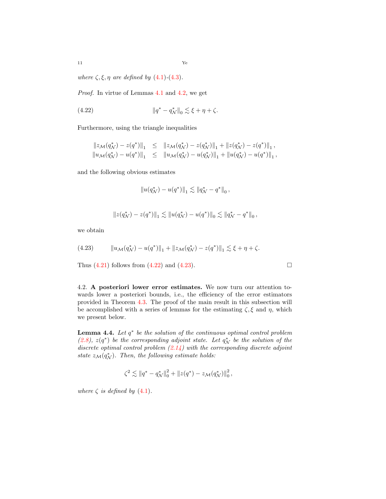11 Ye

*where*  $\zeta$ ,  $\xi$ ,  $\eta$  *are defined by* [\(4.1\)](#page-6-1)-[\(4.3\)](#page-6-1)*.* 

*Proof.* In virtue of Lemmas [4.1](#page-7-3) and [4.2,](#page-8-1) we get

(4.22) 
$$
\|q^* - q^*_{\mathcal{N}}\|_0 \lesssim \xi + \eta + \zeta.
$$

Furthermore, using the triangle inequalities

<span id="page-11-0"></span>
$$
\begin{array}{rcl}\|z_{\mathcal{M}}(q^*_{\mathcal{N}})-z(q^*)\|_1 & \leq & \||z_{\mathcal{M}}(q^*_{\mathcal{N}})-z(q^*_{\mathcal{N}})\|_1 + \|z(q^*_{\mathcal{N}})-z(q^*)\|_1, \\
\|u_{\mathcal{M}}(q^*_{\mathcal{N}})-u(q^*)\|_1 & \leq & \|\u_{\mathcal{M}}(q^*_{\mathcal{N}})-u(q^*_{\mathcal{N}})\|_1 + \|u(q^*_{\mathcal{N}})-u(q^*)\|_1,\n\end{array}
$$

and the following obvious estimates

<span id="page-11-1"></span>
$$
||u(q^*_{\mathcal{N}}) - u(q^*)||_1 \lesssim ||q^*_{\mathcal{N}} - q^*||_0,
$$

$$
||z(q^*_{\mathcal{N}})-z(q^*)||_1 \lesssim ||u(q^*_{\mathcal{N}})-u(q^*)||_0 \lesssim ||q^*_{\mathcal{N}}-q^*||_0,
$$

we obtain

(4.23) 
$$
||u_{\mathcal{M}}(q^*_{\mathcal{N}}) - u(q^*)||_1 + ||z_{\mathcal{M}}(q^*_{\mathcal{N}}) - z(q^*)||_1 \lesssim \xi + \eta + \zeta.
$$

Thus  $(4.21)$  follows from  $(4.22)$  and  $(4.23)$  $(4.23)$ .

4.2. **A posteriori lower error estimates.** We now turn our attention towards lower a posteriori bounds, i.e., the efficiency of the error estimators provided in Theorem [4.3](#page-10-4). The proof of the main result in this subsection will be accomplished with a series of lemmas for the estimating  $\zeta$ ,  $\xi$  and  $\eta$ , which we present below.

<span id="page-11-2"></span>**Lemma 4.4.** *Let q ∗ be the solution of the continuous optimal control problem*  $(2.8)$  $(2.8)$ ,  $z(q^*)$  be the corresponding adjoint state. Let  $q^*_{\mathcal{N}}$  be the solution of the *discrete optimal control problem ([2.14\)](#page-5-1) with the corresponding discrete adjoint state*  $z_M(q_N^*)$ . Then, the following estimate holds:

$$
\zeta^2 \lesssim \|q^* - q^*_{\mathcal{N}}\|_0^2 + \|z(q^*) - z_{\mathcal{M}}(q^*_{\mathcal{N}})\|_0^2,
$$

*where*  $\zeta$  *is defined by* ([4.1\)](#page-6-1).

$$
\Box
$$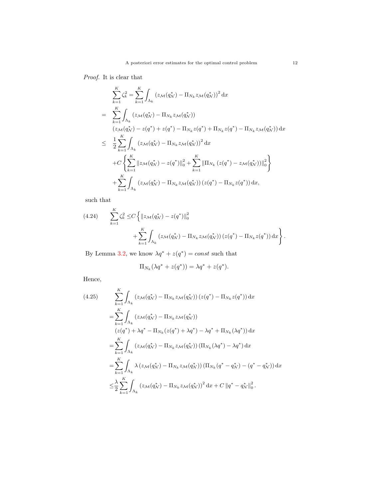*Proof.* It is clear that

$$
\sum_{k=1}^{K} \zeta_{k}^{2} = \sum_{k=1}^{K} \int_{\Lambda_{k}} (z_{\mathcal{M}}(q_{\mathcal{N}}^{*}) - \Pi_{N_{k}} z_{\mathcal{M}}(q_{\mathcal{N}}^{*}))^{2} dx
$$
\n
$$
= \sum_{k=1}^{K} \int_{\Lambda_{k}} (z_{\mathcal{M}}(q_{\mathcal{N}}^{*}) - \Pi_{N_{k}} z_{\mathcal{M}}(q_{\mathcal{N}}^{*}))
$$
\n
$$
(z_{\mathcal{M}}(q_{\mathcal{N}}^{*}) - z(q^{*}) + z(q^{*}) - \Pi_{N_{k}} z(q^{*}) + \Pi_{N_{k}} z(q^{*}) - \Pi_{N_{k}} z_{\mathcal{M}}(q_{\mathcal{N}}^{*})) dx
$$
\n
$$
\leq \frac{1}{2} \sum_{k=1}^{K} \int_{\Lambda_{k}} (z_{\mathcal{M}}(q_{\mathcal{N}}^{*}) - \Pi_{N_{k}} z_{\mathcal{M}}(q_{\mathcal{N}}^{*}))^{2} dx
$$
\n
$$
+ C \left\{ \sum_{k=1}^{K} ||z_{\mathcal{M}}(q_{\mathcal{N}}^{*}) - z(q^{*})||_{0}^{2} + \sum_{k=1}^{K} ||\Pi_{N_{k}}(z(q^{*}) - z_{\mathcal{M}}(q_{\mathcal{N}}^{*}))||_{0}^{2} \right\}
$$
\n
$$
+ \sum_{k=1}^{K} \int_{\Lambda_{k}} (z_{\mathcal{M}}(q_{\mathcal{N}}^{*}) - \Pi_{N_{k}} z_{\mathcal{M}}(q_{\mathcal{N}}^{*})) (z(q^{*}) - \Pi_{N_{k}} z(q^{*})) dx,
$$

such that

<span id="page-12-0"></span>(4.24) 
$$
\sum_{k=1}^{K} \zeta_k^2 \leq C \left\{ ||z_{\mathcal{M}}(q_{\mathcal{N}}^*) - z(q^*)||_0^2 + \sum_{k=1}^{K} \int_{\Lambda_k} (z_{\mathcal{M}}(q_{\mathcal{N}}^*) - \Pi_{N_k} z_{\mathcal{M}}(q_{\mathcal{N}}^*)) (z(q^*) - \Pi_{N_k} z(q^*)) dx \right\}.
$$

By Lemma [3.2](#page-5-7), we know  $\lambda q^* + z(q^*) = const$  such that

$$
\Pi_{N_k}(\lambda q^* + z(q^*)) = \lambda q^* + z(q^*).
$$

Hence,

<span id="page-12-1"></span>
$$
(4.25) \qquad \sum_{k=1}^{K} \int_{\Lambda_k} \left( z_{\mathcal{M}} (q_{\mathcal{N}}^*) - \Pi_{N_k} z_{\mathcal{M}} (q_{\mathcal{N}}^*) \right) \left( z(q^*) - \Pi_{N_k} z(q^*) \right) \, \mathrm{d}x \n= \sum_{k=1}^{K} \int_{\Lambda_k} \left( z_{\mathcal{M}} (q_{\mathcal{N}}^*) - \Pi_{N_k} z_{\mathcal{M}} (q_{\mathcal{N}}^*) \right) \n\left( z(q^*) + \lambda q^* - \Pi_{N_k} (z(q^*) + \lambda q^*) - \lambda q^* + \Pi_{N_k} (\lambda q^*) \right) \, \mathrm{d}x \n= \sum_{k=1}^{K} \int_{\Lambda_k} \left( z_{\mathcal{M}} (q_{\mathcal{N}}^*) - \Pi_{N_k} z_{\mathcal{M}} (q_{\mathcal{N}}^*) \right) \left( \Pi_{N_k} (\lambda q^*) - \lambda q^* \right) \, \mathrm{d}x \n= \sum_{k=1}^{K} \int_{\Lambda_k} \lambda \left( z_{\mathcal{M}} (q_{\mathcal{N}}^*) - \Pi_{N_k} z_{\mathcal{M}} (q_{\mathcal{N}}^*) \right) \left( \Pi_{N_k} (q^* - q_{\mathcal{N}}^*) - (q^* - q_{\mathcal{N}}^*) \right) \, \mathrm{d}x \n\leq \frac{\lambda}{2} \sum_{k=1}^{K} \int_{\Lambda_k} \left( z_{\mathcal{M}} (q_{\mathcal{N}}^*) - \Pi_{N_k} z_{\mathcal{M}} (q_{\mathcal{N}}^*) \right)^2 \, \mathrm{d}x + C \left\| q^* - q_{\mathcal{N}}^* \right\|_0^2.
$$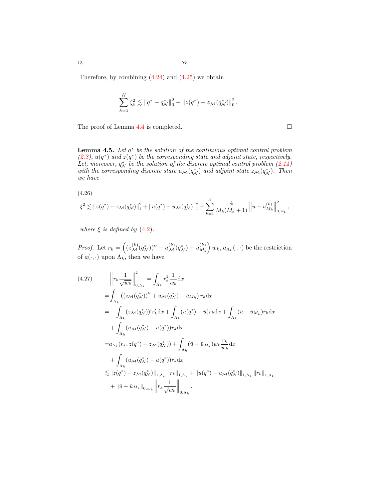Therefore, by combining  $(4.24)$  $(4.24)$  and  $(4.25)$  we obtain

$$
\sum_{k=1}^K \zeta_k^2 \lesssim \|q^* - q^*_\mathcal{N}\|_0^2 + \|z(q^*) - z_\mathcal{M}(q^*_\mathcal{N})\|_0^2.
$$

The proof of Lemma  $4.4$  is completed.  $\Box$ 

**Lemma 4.5.** *Let q ∗ be the solution of the continuous optimal control problem*  $(2.8), u(q^*)$  $(2.8), u(q^*)$  and  $z(q^*)$  be the corresponding state and adjoint state, respectively. *Let, moreover,*  $q_N^*$  *be the solution of the discrete optimal control problem*  $(2.14)$  $(2.14)$  $(2.14)$ *with the corresponding discrete state*  $u_{\mathcal{M}}(q_{\mathcal{N}}^{*})$  *and adjoint state*  $z_{\mathcal{M}}(q_{\mathcal{N}}^{*})$ *. Then we have*

<span id="page-13-1"></span>(4.26)  
\n
$$
\xi^2 \lesssim ||z(q^*) - z_{\mathcal{M}}(q^*_{\mathcal{N}})||_1^2 + ||u(q^*) - u_{\mathcal{M}}(q^*_{\mathcal{N}})||_1^2 + \sum_{\mathcal{M}}^{K}
$$

*where*  $\xi$  *is defined by* [\(4.2\)](#page-6-1)*.* 

*Proof.* Let  $r_k = \left( (z_{\mathcal{M}}^{(k)}(q_{\mathcal{N}}^*))'' + u_{\mathcal{M}}^{(k)}(q_{\mathcal{N}}^*) - \bar{u}_{M_k}^{(k)} \right)$ *M<sup>k</sup>*  $\left( w_k, a_{\Lambda_k}(\cdot, \cdot) \right)$  be the restriction of  $a(\cdot, \cdot)$  upon  $\Lambda_k$ , then we have

*k*=1

4  $M_k(M_k + 1)$   $\left\| \bar{u} - \bar{u}^{(k)}_{M_k} \right\|$ 

 2  $_{0,w_{k}}$ <sup>,</sup>

<span id="page-13-0"></span>
$$
(4.27) \qquad \left\| r_{k} \frac{1}{\sqrt{w_{k}}} \right\|_{0, \Lambda_{k}}^{2} = \int_{\Lambda_{k}} r_{k}^{2} \frac{1}{w_{k}} dx
$$
\n
$$
= \int_{\Lambda_{k}} ((z_{\mathcal{M}}(q_{\mathcal{N}}^{*}))'' + u_{\mathcal{M}}(q_{\mathcal{N}}^{*}) - \bar{u}_{M_{k}}) r_{k} dx
$$
\n
$$
= - \int_{\Lambda_{k}} (z_{\mathcal{M}}(q_{\mathcal{N}}^{*}))' r_{k}' dx + \int_{\Lambda_{k}} (u(q^{*}) - \bar{u}) r_{k} dx + \int_{\Lambda_{k}} (\bar{u} - \bar{u}_{M_{k}}) r_{k} dx
$$
\n
$$
+ \int_{\Lambda_{k}} (u_{\mathcal{M}}(q_{\mathcal{N}}^{*}) - u(q^{*})) r_{k} dx
$$
\n
$$
= a_{\Lambda_{k}}(r_{k}, z(q^{*}) - z_{\mathcal{M}}(q_{\mathcal{N}}^{*})) + \int_{\Lambda_{k}} (\bar{u} - \bar{u}_{M_{k}}) w_{k} \frac{r_{k}}{w_{k}} dx
$$
\n
$$
+ \int_{\Lambda_{k}} (u_{\mathcal{M}}(q_{\mathcal{N}}^{*}) - u(q^{*})) r_{k} dx
$$
\n
$$
\lesssim ||z(q^{*}) - z_{\mathcal{M}}(q_{\mathcal{N}}^{*})||_{1, \Lambda_{k}} ||r_{k}||_{1, \Lambda_{k}} + ||u(q^{*}) - u_{\mathcal{M}}(q_{\mathcal{N}}^{*})||_{1, \Lambda_{k}} ||r_{k}||_{1, \Lambda_{k}}
$$
\n
$$
+ ||\bar{u} - \bar{u}_{M_{k}}||_{0, w_{k}} ||r_{k} \frac{1}{\sqrt{w_{k}}} ||_{0, \Lambda_{k}}.
$$

13 Ye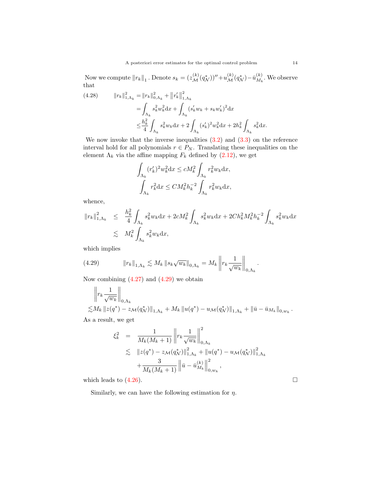Now we compute  $||r_k||_1$ . Denote  $s_k = (z_{\mathcal{M}}^{(k)}(q_{\mathcal{N}}^*))'' + u_{\mathcal{M}}^{(k)}(q_{\mathcal{N}}^*) - \bar{u}_{M_k}^{(k)}$  $\binom{k}{M_k}$ . We observe that

(4.28) 
$$
||r_{k}||_{1,\Lambda_{k}}^{2} = ||r_{k}||_{0,\Lambda_{k}}^{2} + ||r_{k}'||_{1,\Lambda_{k}}^{2}
$$

$$
= \int_{\Lambda_{k}} s_{k}^{2} w_{k}^{2} dx + \int_{\Lambda_{k}} (s_{k}' w_{k} + s_{k} w_{k}')^{2} dx
$$

$$
\leq \frac{h_{k}^{2}}{4} \int_{\Lambda_{k}} s_{k}^{2} w_{k} dx + 2 \int_{\Lambda_{k}} (s_{k}')^{2} w_{k}^{2} dx + 2h_{k}^{2} \int_{\Lambda_{k}} s_{k}^{2} dx.
$$

We now invoke that the inverse inequalities  $(3.2)$  $(3.2)$  $(3.2)$  and  $(3.3)$  on the reference interval hold for all polynomials  $r \in P_N$ . Translating these inequalities on the element  $\Lambda_k$  via the affine mapping  $F_k$  defined by  $(2.12)$  $(2.12)$ , we get

$$
\int_{\Lambda_k} (r'_k)^2 w_k^2 \mathrm{d}x \le c M_k^2 \int_{\Lambda_k} r_k^2 w_k \mathrm{d}x,
$$

$$
\int_{\Lambda_k} r_k^2 \mathrm{d}x \le C M_k^2 h_k^{-2} \int_{\Lambda_k} r_k^2 w_k \mathrm{d}x,
$$

whence,

$$
||r_k||_{1,\Lambda_k}^2 \leq \frac{h_k^2}{4} \int_{\Lambda_k} s_k^2 w_k \, dx + 2cM_k^2 \int_{\Lambda_k} s_k^2 w_k \, dx + 2Ch_k^2 M_k^2 h_k^{-2} \int_{\Lambda_k} s_k^2 w_k \, dx
$$
  

$$
\lesssim M_k^2 \int_{\Lambda_k} s_k^2 w_k \, dx,
$$

which implies

<span id="page-14-0"></span>(4.29) 
$$
\|r_k\|_{1,\Lambda_k} \lesssim M_k \|s_k \sqrt{w_k}\|_{0,\Lambda_k} = M_k \left\| r_k \frac{1}{\sqrt{w_k}} \right\|_{0,\Lambda_k}.
$$

Now combining  $(4.27)$  $(4.27)$  $(4.27)$  and  $(4.29)$  $(4.29)$  we obtain

$$
\begin{aligned}\n&\left\| r_k \frac{1}{\sqrt{w_k}} \right\|_{0,\Lambda_k} \\
&\lesssim & M_k \left\| z(q^*) - z_{\mathcal{M}}(q^*_{\mathcal{N}}) \right\|_{1,\Lambda_k} + M_k \left\| u(q^*) - u_{\mathcal{M}}(q^*_{\mathcal{N}}) \right\|_{1,\Lambda_k} + \left\| \bar{u} - \bar{u}_{M_k} \right\|_{0,w_k}.\n\end{aligned}
$$

As a result, we get

$$
\xi_{k}^{2} = \frac{1}{M_{k}(M_{k}+1)} \left\| r_{k} \frac{1}{\sqrt{w_{k}}} \right\|_{0,\Lambda_{k}}^{2}
$$
  
\n
$$
\lesssim \left\| z(q^{*}) - z_{\mathcal{M}}(q_{\mathcal{N}}^{*}) \right\|_{1,\Lambda_{k}}^{2} + \left\| u(q^{*}) - u_{\mathcal{M}}(q_{\mathcal{N}}^{*}) \right\|_{1,\Lambda_{k}}^{2}
$$
  
\n
$$
+ \frac{3}{M_{k}(M_{k}+1)} \left\| \bar{u} - \bar{u}_{M_{k}}^{(k)} \right\|_{0,w_{k}}^{2},
$$

which leads to  $(4.26)$  $(4.26)$  $(4.26)$ .

Similarly, we can have the following estimation for *η.*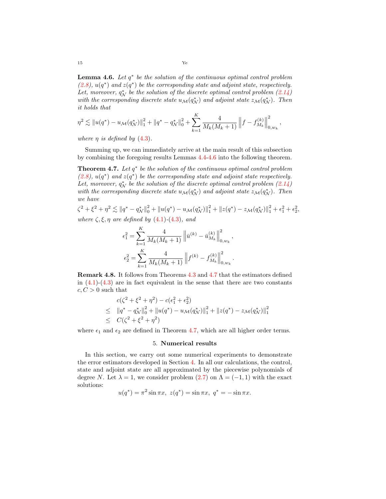<span id="page-15-1"></span>**Lemma 4.6.** *Let q ∗ be the solution of the continuous optimal control problem*  $(2.8), u(q^*)$  $(2.8), u(q^*)$  and  $z(q^*)$  be the corresponding state and adjoint state, respectively. *Let, moreover,*  $q_N^*$  *be the solution of the discrete optimal control problem*  $(2.14)$  $(2.14)$  $(2.14)$ *with the corresponding discrete state*  $u_{\mathcal{M}}(q_{\mathcal{N}}^{*})$  *and adjoint state*  $z_{\mathcal{M}}(q_{\mathcal{N}}^{*})$ *. Then it holds that*

*,*

$$
\eta^2 \lesssim \|u(q^*) - u_{\mathcal{M}}(q^*_{\mathcal{N}})\|_1^2 + \|q^* - q^*_{\mathcal{N}}\|_0^2 + \sum_{k=1}^K \frac{4}{M_k(M_k+1)} \|f - f_{M_k}^{(k)}\|_{0,w_k}^2
$$

*where*  $\eta$  *is defined by* [\(4.3\)](#page-6-1).

Summing up, we can immediately arrive at the main result of this subsection by combining the foregoing results Lemmas [4.4](#page-11-2)-[4.6](#page-15-1) into the following theorem.

<span id="page-15-2"></span>**Theorem 4.7.** *Let q ∗ be the solution of the continuous optimal control problem*  $(2.8), u(q^*)$  $(2.8), u(q^*)$  and  $z(q^*)$  be the corresponding state and adjoint state respectively. *Let, moreover,*  $q_N^*$  *be the solution of the discrete optimal control problem*  $(2.14)$  $(2.14)$  $(2.14)$ *with the corresponding discrete state*  $u_{\mathcal{M}}(q_{\mathcal{N}}^{*})$  *and adjoint state*  $z_{\mathcal{M}}(q_{\mathcal{N}}^{*})$ *. Then we have*

 $\zeta^2 + \xi^2 + \eta^2 \lesssim ||q^* - q^*_{\mathcal{N}}||_0^2 + ||u(q^*) - u_{\mathcal{M}}(q^*_{\mathcal{N}})||_1^2 + ||z(q^*) - z_{\mathcal{M}}(q^*_{\mathcal{N}})||_1^2 + \epsilon_1^2 + \epsilon_2^2,$ *where ζ, ξ, η are defined by* [\(4.1\)](#page-6-1)*-*[\(4.3\)](#page-6-1)*, and*

$$
\epsilon_1^2 = \sum_{k=1}^K \frac{4}{M_k (M_k + 1)} \| \bar{u}^{(k)} - \bar{u}_{M_k}^{(k)} \|_{0, w_k}^2,
$$
  

$$
\epsilon_2^2 = \sum_{k=1}^K \frac{4}{M_k (M_k + 1)} \| f^{(k)} - f_{M_k}^{(k)} \|_{0, w_k}^2.
$$

**Remark 4.8.** It follows from Theorems [4.3](#page-10-4) and [4.7](#page-15-2) that the estimators defined in  $(4.1)-(4.3)$  $(4.1)-(4.3)$  $(4.1)-(4.3)$  are in fact equivalent in the sense that there are two constants  $c, C > 0$  such that

$$
c(\zeta^2 + \xi^2 + \eta^2) - c(\epsilon_1^2 + \epsilon_2^2)
$$
  
\n
$$
\leq ||q^* - q^*_{\mathcal{N}}||_0^2 + ||u(q^*) - u_{\mathcal{M}}(q^*_{\mathcal{N}})||_1^2 + ||z(q^*) - z_{\mathcal{M}}(q^*_{\mathcal{N}})||_1^2
$$
  
\n
$$
\leq C(\zeta^2 + \xi^2 + \eta^2)
$$

<span id="page-15-0"></span>where  $\epsilon_1$  and  $\epsilon_2$  are defined in Theorem [4.7](#page-15-2), which are all higher order terms.

#### 5. **Numerical results**

In this section, we carry out some numerical experiments to demonstrate the error estimators developed in Section [4](#page-6-0). In all our calculations, the control, state and adjoint state are all approximated by the piecewise polynomials of degree *N*. Let  $\lambda = 1$ , we consider problem ([2.7](#page-3-3)) on  $\Lambda = (-1, 1)$  with the exact solutions:

$$
u(q^*) = \pi^2 \sin \pi x, \ z(q^*) = \sin \pi x, \ q^* = -\sin \pi x.
$$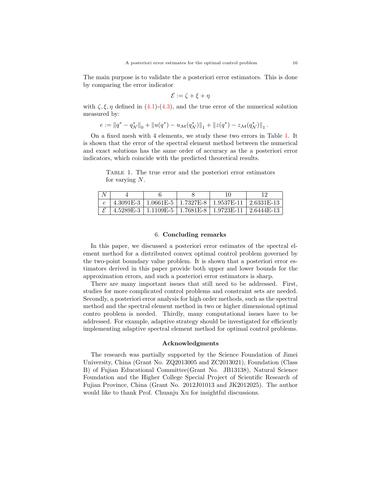The main purpose is to validate the a posteriori error estimators. This is done by comparing the error indicator

$$
\mathcal{E} := \zeta + \xi + \eta
$$

with  $\zeta, \xi, \eta$  defined in ([4.1\)](#page-6-1)-([4.3\)](#page-6-1), and the true error of the numerical solution measured by:

$$
e := \|q^* - q^*_{\mathcal{N}}\|_0 + \|u(q^*) - u_{\mathcal{M}}(q^*_{\mathcal{N}})\|_1 + \|z(q^*) - z_{\mathcal{M}}(q^*_{\mathcal{N}})\|_1.
$$

On a fixed mesh with 4 elements, we study these two errors in Table [1.](#page-16-0) It is shown that the error of the spectral element method between the numerical and exact solutions has the same order of accuracy as the a posteriori error indicators, which coincide with the predicted theoretical results.

<span id="page-16-0"></span>Table 1. The true error and the posteriori error estimators for varying *N*.

|  |  | $4.3091E-3$   $1.0661E-5$   $1.7327E-8$   $1.9537E-11$   $2.6331E-13$ |  |
|--|--|-----------------------------------------------------------------------|--|
|  |  | $4.5289E-3$   $1.1109E-5$   $1.7681E-8$   $1.9723E-11$   $2.6444E-13$ |  |

### 6. **Concluding remarks**

In this paper, we discussed a posteriori error estimates of the spectral element method for a distributed convex optimal control problem governed by the two-point boundary value problem. It is shown that a posteriori error estimators derived in this paper provide both upper and lower bounds for the approximation errors, and such a posteriori error estimators is sharp.

There are many important issues that still need to be addressed. First, studies for more complicated control problems and constraint sets are needed. Secondly, a posteriori error analysis for high order methods, such as the spectral method and the spectral element method in two or higher dimensional optimal contro problem is needed. Thirdly, many computational issues have to be addressed. For example, adaptive strategy should be investigated for efficiently implementing adaptive spectral element method for optimal control problems.

### **Acknowledgments**

The research was partially supported by the Science Foundation of Jimei University, China (Grant No. ZQ2013005 and ZC2013021), Foundation (Class B) of Fujian Educational Committee(Grant No. JB13138), Natural Science Foundation and the Higher College Special Project of Scientific Research of Fujian Province, China (Grant No. 2012J01013 and JK2012025). The author would like to thank Prof. Chuanju Xu for insightful discussions.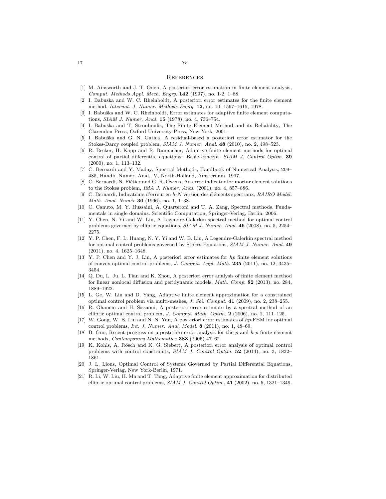#### **REFERENCES**

- <span id="page-17-2"></span>[1] M. Ainsworth and J. T. Oden, A posteriori error estimation in finite element analysis, *Comput. Methods Appl. Mech. Engrg.* **142** (1997), no. 1-2, 1–88.
- <span id="page-17-0"></span>[2] I. Babuška and W. C. Rheinboldt, A posteriori error estimates for the finite element method, *Internat. J. Numer. Methods Engrg.* **12**, no. 10, 1597–1615, 1978.
- <span id="page-17-1"></span>I. Babuška and W. C. Rheinboldt, Error estimates for adaptive finite element computations, *SIAM J. Numer. Anal.* **15** (1978), no. 4, 736–754.
- <span id="page-17-3"></span>[4] I. Babuška and T. Strouboulis, The Finite Element Method and its Reliability, The Clarendon Press, Oxford University Press, New York, 2001.
- <span id="page-17-4"></span>[5] I. Babuška and G. N. Gatica, A residual-based a posteriori error estimator for the Stokes-Darcy coupled problem, *SIAM J. Numer. Anal.* **48** (2010), no. 2, 498–523.
- <span id="page-17-7"></span>[6] R. Becker, H. Kapp and R. Rannacher, Adaptive finite element methods for optimal control of partial differential equations: Basic concept, *SIAM J. Control Optim.* **39** (2000), no. 1, 113–132.
- <span id="page-17-18"></span>[7] C. Bernardi and Y. Maday, Spectral Methods, Handbook of Numerical Analysis, 209– 485, Handb. Numer. Anal., V, North-Holland, Amsterdam, 1997.
- <span id="page-17-19"></span>C. Bernardi, N. Fiétier and G. R. Owens, An error indicator for mortar element solutions to the Stokes problem, *IMA J. Numer. Anal.* (2001), no. 4, 857–886.
- <span id="page-17-15"></span>C. Bernardi, Indicateurs d'erreur en *h*-*N* version des éléments spectraux, *RAIRO Modél. Math. Anal. Num´er* **30** (1996), no. 1, 1–38.
- <span id="page-17-20"></span>[10] C. Canuto, M. Y. Hussaini, A. Quarteroni and T. A. Zang, Spectral methods. Fundamentals in single domains. Scientific Computation, Springer-Verlag, Berlin, 2006.
- <span id="page-17-11"></span>[11] Y. Chen, N. Yi and W. Liu, A Legendre-Galerkin spectral method for optimal control problems governed by elliptic equations, *SIAM J. Numer. Anal.* **46** (2008), no. 5, 2254– 2275.
- <span id="page-17-12"></span>[12] Y. P. Chen, F. L. Huang, N. Y. Yi and W. B. Liu, A Legendre-Galerkin spectral method for optimal control problems governed by Stokes Equations, *SIAM J. Numer. Anal.* **49** (2011), no. 4, 1625–1648.
- <span id="page-17-13"></span>[13] Y. P. Chen and Y. J. Lin, A posteriori error estimates for *hp* finite element solutions of convex optimal control problems, *J. Comput. Appl. Math.* **235** (2011), no. 12, 3435– 3454.
- <span id="page-17-5"></span>[14] Q. Du, L. Ju, L. Tian and K. Zhou, A posteriori error analysis of finite element method for linear nonlocal diffusion and peridynamic models, *Math. Comp.* **82** (2013), no. 284, 1889–1922.
- <span id="page-17-17"></span>[15] L. Ge, W. Liu and D. Yang, Adaptive finite element approximation for a constrained optimal control problem via multi-meshes, *J. Sci. Comput.* **41** (2009), no. 2, 238–255.
- <span id="page-17-10"></span>[16] R. Ghanem and H. Sissaoui, A posteriori error estimate by a spectral method of an elliptic optimal control problem, *J. Comput. Math. Optim.* **2** (2006), no. 2, 111–125.
- <span id="page-17-14"></span>[17] W. Gong, W. B. Liu and N. N. Yan, A posteriori error estimates of *hp*-FEM for optimal control problems, *Int. J. Numer. Anal. Model.* **8** (2011), no. 1, 48–69.
- <span id="page-17-6"></span>[18] B. Guo, Recent progress on a-posteriori error analysis for the *p* and *h*-*p* finite element methods, *Contemporary Mathematics* **383** (2005) 47–62.
- <span id="page-17-8"></span>[19] K. Kohls, A. Rösch and K. G. Siebert, A posteriori error analysis of optimal control problems with control constraints, *SIAM J. Control Optim.* **52** (2014), no. 3, 1832– 1861.
- <span id="page-17-16"></span>[20] J. L. Lions, Optimal Control of Systems Governed by Partial Differential Equations, Springer-Verlag, New York-Berlin, 1971.
- <span id="page-17-9"></span>[21] R. Li, W. Liu, H. Ma and T. Tang, Adaptive finite element approximation for distributed elliptic optimal control problems, *SIAM J. Control Optim.*, **41** (2002), no. 5, 1321–1349.